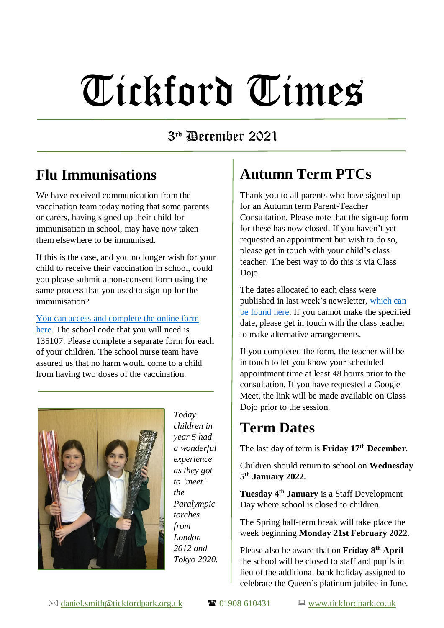# Tickford Times

### 3 rd December 2021

### **Flu Immunisations**

We have received communication from the vaccination team today noting that some parents or carers, having signed up their child for immunisation in school, may have now taken them elsewhere to be immunised.

If this is the case, and you no longer wish for your child to receive their vaccination in school, could you please submit a non-consent form using the same process that you used to sign-up for the immunisation?

[You can access and complete the online form](https://immsconsent.eput.nhs.uk/FluConsent/Form1/#!/Page1) [here.](https://immsconsent.eput.nhs.uk/FluConsent/Form1/#!/Page1) The school code that you will need is 135107. Please complete a separate form for each of your children. The school nurse team have assured us that no harm would come to a child from having two doses of the vaccination.



*Today children in year 5 had a wonderful experience as they got to 'meet' the Paralympic torches from London 2012 and Tokyo 2020.*

# **Autumn Term PTCs**

Thank you to all parents who have signed up for an Autumn term Parent-Teacher Consultation. Please note that the sign-up form for these has now closed. If you haven't yet requested an appointment but wish to do so, please get in touch with your child's class teacher. The best way to do this is via Class Dojo.

The dates allocated to each class were published in last week's newsletter, [which can](https://www.tickfordpark.co.uk/uploads/1/0/8/8/10881774/tt_26.11.21.pdf)  [be found here.](https://www.tickfordpark.co.uk/uploads/1/0/8/8/10881774/tt_26.11.21.pdf) If you cannot make the specified date, please get in touch with the class teacher to make alternative arrangements.

If you completed the form, the teacher will be in touch to let you know your scheduled appointment time at least 48 hours prior to the consultation. If you have requested a Google Meet, the link will be made available on Class Dojo prior to the session.

## **Term Dates**

The last day of term is **Friday 17th December**.

Children should return to school on **Wednesday 5 th January 2022.** 

**Tuesday 4 th January** is a Staff Development Day where school is closed to children.

The Spring half-term break will take place the week beginning **Monday 21st February 2022**.

Please also be aware that on **Friday 8th April** the school will be closed to staff and pupils in lieu of the additional bank holiday assigned to celebrate the Queen's platinum jubilee in June.